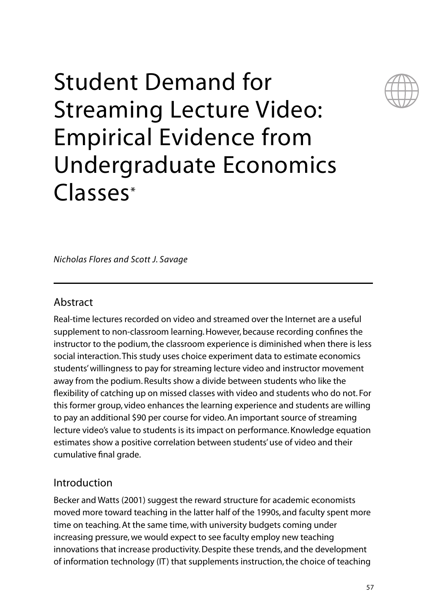

Student Demand for Streaming Lecture Video: Empirical Evidence from Undergraduate Economics Classes\*

*Nicholas Flores and Scott J. Savage*

# Abstract

Real-time lectures recorded on video and streamed over the Internet are a useful supplement to non-classroom learning. However, because recording confines the instructor to the podium, the classroom experience is diminished when there is less social interaction.This study uses choice experiment data to estimate economics students' willingness to pay for streaming lecture video and instructor movement away from the podium. Results show a divide between students who like the flexibility of catching up on missed classes with video and students who do not. For this former group, video enhances the learning experience and students are willing to pay an additional \$90 per course for video. An important source of streaming lecture video's value to students is its impact on performance. Knowledge equation estimates show a positive correlation between students' use of video and their cumulative final grade.

# Introduction

Becker and Watts (2001) suggest the reward structure for academic economists moved more toward teaching in the latter half of the 1990s, and faculty spent more time on teaching. At the same time, with university budgets coming under increasing pressure, we would expect to see faculty employ new teaching innovations that increase productivity. Despite these trends, and the development of information technology (IT) that supplements instruction, the choice of teaching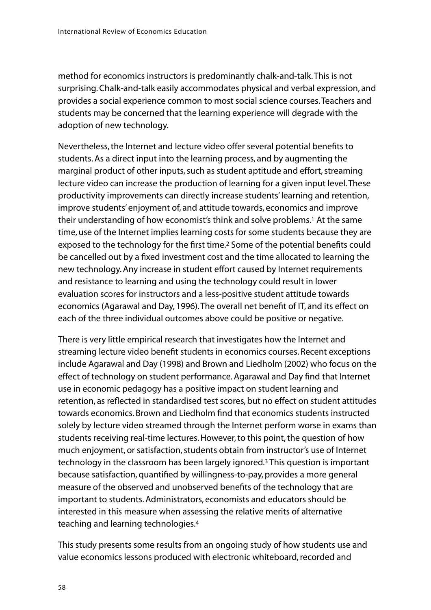method for economics instructors is predominantly chalk-and-talk.This is not surprising. Chalk-and-talk easily accommodates physical and verbal expression, and provides a social experience common to most social science courses.Teachers and students may be concerned that the learning experience will degrade with the adoption of new technology.

Nevertheless, the Internet and lecture video offer several potential benefits to students. As a direct input into the learning process, and by augmenting the marginal product of other inputs, such as student aptitude and effort, streaming lecture video can increase the production of learning for a given input level.These productivity improvements can directly increase students' learning and retention, improve students' enjoyment of, and attitude towards, economics and improve their understanding of how economist's think and solve problems.1 At the same time, use of the Internet implies learning costs for some students because they are exposed to the technology for the first time.2 Some of the potential benefits could be cancelled out by a fixed investment cost and the time allocated to learning the new technology. Any increase in student effort caused by Internet requirements and resistance to learning and using the technology could result in lower evaluation scores for instructors and a less-positive student attitude towards economics (Agarawal and Day, 1996).The overall net benefit of IT, and its effect on each of the three individual outcomes above could be positive or negative.

There is very little empirical research that investigates how the Internet and streaming lecture video benefit students in economics courses. Recent exceptions include Agarawal and Day (1998) and Brown and Liedholm (2002) who focus on the effect of technology on student performance. Agarawal and Day find that Internet use in economic pedagogy has a positive impact on student learning and retention, as reflected in standardised test scores, but no effect on student attitudes towards economics. Brown and Liedholm find that economics students instructed solely by lecture video streamed through the Internet perform worse in exams than students receiving real-time lectures. However, to this point, the question of how much enjoyment, or satisfaction, students obtain from instructor's use of Internet technology in the classroom has been largely ignored.3 This question is important because satisfaction, quantified by willingness-to-pay, provides a more general measure of the observed and unobserved benefits of the technology that are important to students. Administrators, economists and educators should be interested in this measure when assessing the relative merits of alternative teaching and learning technologies.4

This study presents some results from an ongoing study of how students use and value economics lessons produced with electronic whiteboard, recorded and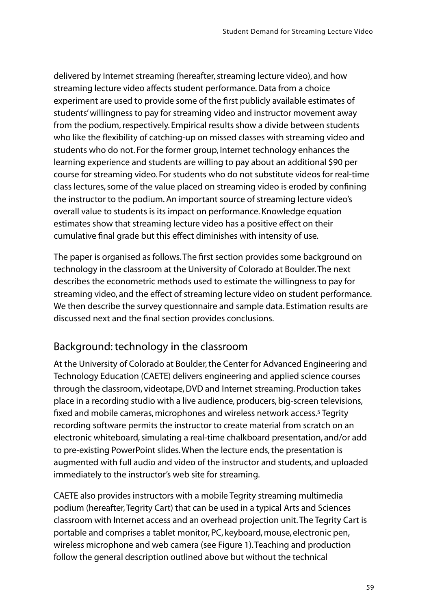delivered by Internet streaming (hereafter, streaming lecture video), and how streaming lecture video affects student performance. Data from a choice experiment are used to provide some of the first publicly available estimates of students' willingness to pay for streaming video and instructor movement away from the podium, respectively. Empirical results show a divide between students who like the flexibility of catching-up on missed classes with streaming video and students who do not. For the former group, Internet technology enhances the learning experience and students are willing to pay about an additional \$90 per course for streaming video. For students who do not substitute videos for real-time class lectures, some of the value placed on streaming video is eroded by confining the instructor to the podium. An important source of streaming lecture video's overall value to students is its impact on performance. Knowledge equation estimates show that streaming lecture video has a positive effect on their cumulative final grade but this effect diminishes with intensity of use.

The paper is organised as follows.The first section provides some background on technology in the classroom at the University of Colorado at Boulder.The next describes the econometric methods used to estimate the willingness to pay for streaming video, and the effect of streaming lecture video on student performance. We then describe the survey questionnaire and sample data. Estimation results are discussed next and the final section provides conclusions.

# Background: technology in the classroom

At the University of Colorado at Boulder, the Center for Advanced Engineering and Technology Education (CAETE) delivers engineering and applied science courses through the classroom, videotape, DVD and Internet streaming. Production takes place in a recording studio with a live audience, producers, big-screen televisions, fixed and mobile cameras, microphones and wireless network access.<sup>5</sup> Tegrity recording software permits the instructor to create material from scratch on an electronic whiteboard, simulating a real-time chalkboard presentation, and/or add to pre-existing PowerPoint slides.When the lecture ends, the presentation is augmented with full audio and video of the instructor and students, and uploaded immediately to the instructor's web site for streaming.

CAETE also provides instructors with a mobile Tegrity streaming multimedia podium (hereafter,Tegrity Cart) that can be used in a typical Arts and Sciences classroom with Internet access and an overhead projection unit.The Tegrity Cart is portable and comprises a tablet monitor, PC, keyboard, mouse, electronic pen, wireless microphone and web camera (see Figure 1).Teaching and production follow the general description outlined above but without the technical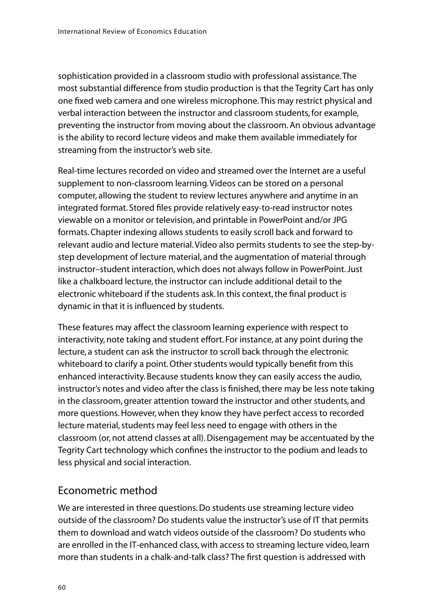sophistication provided in a classroom studio with professional assistance.The most substantial difference from studio production is that the Tegrity Cart has only one fixed web camera and one wireless microphone.This may restrict physical and verbal interaction between the instructor and classroom students, for example, preventing the instructor from moving about the classroom. An obvious advantage is the ability to record lecture videos and make them available immediately for streaming from the instructor's web site.

Real-time lectures recorded on video and streamed over the Internet are a useful supplement to non-classroom learning.Videos can be stored on a personal computer, allowing the student to review lectures anywhere and anytime in an integrated format. Stored files provide relatively easy-to-read instructor notes viewable on a monitor or television, and printable in PowerPoint and/or JPG formats. Chapter indexing allows students to easily scroll back and forward to relevant audio and lecture material.Video also permits students to see the step-bystep development of lecture material, and the augmentation of material through instructor–student interaction, which does not always follow in PowerPoint. Just like a chalkboard lecture, the instructor can include additional detail to the electronic whiteboard if the students ask. In this context, the final product is dynamic in that it is influenced by students.

These features may affect the classroom learning experience with respect to interactivity, note taking and student effort. For instance, at any point during the lecture, a student can ask the instructor to scroll back through the electronic whiteboard to clarify a point. Other students would typically benefit from this enhanced interactivity. Because students know they can easily access the audio, instructor's notes and video after the class is finished, there may be less note taking in the classroom, greater attention toward the instructor and other students, and more questions. However, when they know they have perfect access to recorded lecture material, students may feel less need to engage with others in the classroom (or, not attend classes at all). Disengagement may be accentuated by the Tegrity Cart technology which confines the instructor to the podium and leads to less physical and social interaction.

# Econometric method

We are interested in three questions. Do students use streaming lecture video outside of the classroom? Do students value the instructor's use of IT that permits them to download and watch videos outside of the classroom? Do students who are enrolled in the IT-enhanced class, with access to streaming lecture video, learn more than students in a chalk-and-talk class? The first question is addressed with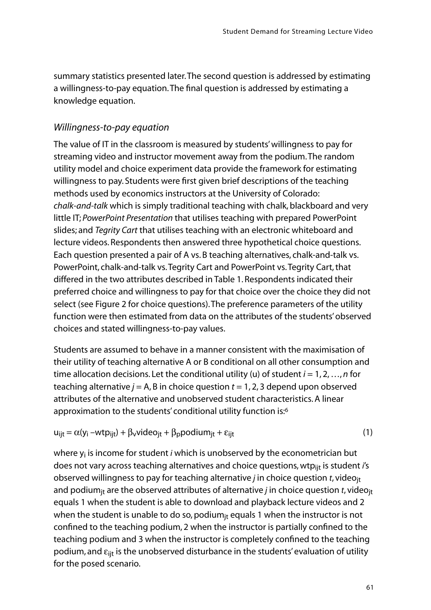summary statistics presented later.The second question is addressed by estimating a willingness-to-pay equation.The final question is addressed by estimating a knowledge equation.

#### *Willingness-to-pay equation*

The value of IT in the classroom is measured by students' willingness to pay for streaming video and instructor movement away from the podium.The random utility model and choice experiment data provide the framework for estimating willingness to pay. Students were first given brief descriptions of the teaching methods used by economics instructors at the University of Colorado: *chalk-and-talk* which is simply traditional teaching with chalk, blackboard and very little IT; *PowerPoint Presentation* that utilises teaching with prepared PowerPoint slides; and *Tegrity Cart* that utilises teaching with an electronic whiteboard and lecture videos. Respondents then answered three hypothetical choice questions. Each question presented a pair of A vs. B teaching alternatives, chalk-and-talk vs. PowerPoint, chalk-and-talk vs.Tegrity Cart and PowerPoint vs.Tegrity Cart, that differed in the two attributes described in Table 1. Respondents indicated their preferred choice and willingness to pay for that choice over the choice they did not select (see Figure 2 for choice questions).The preference parameters of the utility function were then estimated from data on the attributes of the students' observed choices and stated willingness-to-pay values.

Students are assumed to behave in a manner consistent with the maximisation of their utility of teaching alternative A or B conditional on all other consumption and time allocation decisions. Let the conditional utility (u) of student *i* = 1, 2, …, *n* for teaching alternative  $j = A$ , B in choice question  $t = 1, 2, 3$  depend upon observed attributes of the alternative and unobserved student characteristics. A linear approximation to the students' conditional utility function is:6

$$
u_{ijt} = \alpha(y_i - wtp_{ijt}) + \beta_v video_{jt} + \beta_p podium_{jt} + \epsilon_{ijt}
$$
\n(1)

where  $y_i$  is income for student *i* which is unobserved by the econometrician but does not vary across teaching alternatives and choice questions, wtpijt is student *i*'s observed willingness to pay for teaching alternative *j* in choice question *t*, videojt and podium<sub>it</sub> are the observed attributes of alternative *j* in choice question *t*, video<sub>it</sub> equals 1 when the student is able to download and playback lecture videos and 2 when the student is unable to do so, podium $_{it}$  equals 1 when the instructor is not confined to the teaching podium, 2 when the instructor is partially confined to the teaching podium and 3 when the instructor is completely confined to the teaching podium, and  $\varepsilon_{\text{lit}}$  is the unobserved disturbance in the students' evaluation of utility for the posed scenario.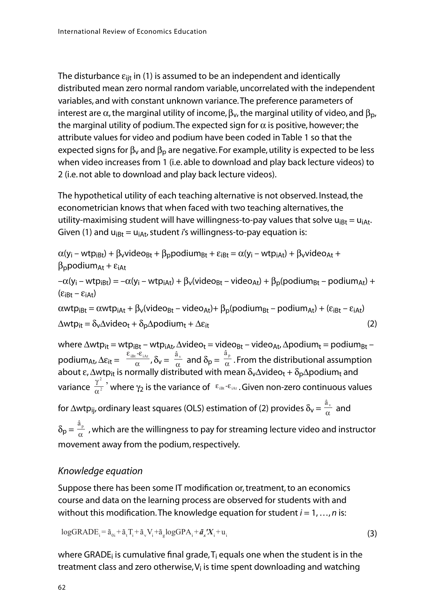The disturbance  $\varepsilon_{\text{ijt}}$  in (1) is assumed to be an independent and identically distributed mean zero normal random variable, uncorrelated with the independent variables, and with constant unknown variance.The preference parameters of interest are  $\alpha$ , the marginal utility of income,  $\beta_{\nu}$ , the marginal utility of video, and  $\beta_{\nu}$ , the marginal utility of podium. The expected sign for  $\alpha$  is positive, however; the attribute values for video and podium have been coded in Table 1 so that the expected signs for  $\beta_V$  and  $\beta_D$  are negative. For example, utility is expected to be less when video increases from 1 (i.e. able to download and play back lecture videos) to 2 (i.e. not able to download and play back lecture videos).

The hypothetical utility of each teaching alternative is not observed. Instead, the econometrician knows that when faced with two teaching alternatives, the utility-maximising student will have willingness-to-pay values that solve  $u_{BR} = u_{IAt}$ . Given (1) and  $u_{iBt} = u_{iAt}$ , student *i's* willingness-to-pay equation is:

 $\alpha(y_i - wtp_{iBt}) + \beta_v$ video<sub>Bt</sub> +  $\beta_p$ podium<sub>Bt</sub> +  $\varepsilon_{iBt} = \alpha(y_i - wtp_{iAt}) + \beta_v$ video<sub>At</sub> +  $β$ <sub>p</sub>podium<sub>At</sub> + ε<sub>iAt</sub>  $-\alpha(y_i - wtp_{iBt}) = -\alpha(y_i - wtp_{iAt}) + \beta_v(video_{Bt} - video_{At}) + \beta_o(podium_{Bt} - podium_{At}) +$  $(\epsilon_{\text{iRt}} - \epsilon_{\text{iAt}})$  $\alpha$ wtp<sub>iBt</sub> =  $\alpha$ wtp<sub>iAt</sub> +  $\beta$ <sub>v</sub>(video<sub>Bt</sub> – video<sub>At</sub>) +  $\beta$ <sub>p</sub>(podium<sub>Bt</sub> – podium<sub>At</sub>) + ( $\varepsilon$ <sub>iBt</sub> –  $\varepsilon$ <sub>iAt</sub>)  $\Delta$ wtp<sub>it</sub> =  $\delta_v \Delta$ video<sub>t</sub> +  $\delta_p \Delta$ podium<sub>t</sub> +  $\Delta \epsilon$ <sub>it</sub> (2)

where  $\Delta$ wtp<sub>it</sub> = wtp<sub>iBt</sub> – wtp<sub>iAt</sub>,  $\Delta$ video<sub>t</sub> = video<sub>Bt</sub> – video<sub>At</sub>,  $\Delta$ podium<sub>t</sub> = podium<sub>Bt</sub> – podium<sub>At</sub>,  $\Delta \varepsilon_{it} = \frac{2\pi k^2 - \ln t}{\alpha}$ ,  $\delta_v = \frac{2\pi}{\alpha}$  and  $\delta_p = \frac{k}{\alpha}$ . From the distributional assumption about ε,∆wtp<sub>it</sub> is normally distributed with mean  $\delta$ <sub>v</sub>∆video<sub>t</sub> +  $\delta$ <sub>p</sub>∆podium<sub>t</sub> and about ε, Δwtp<sub>it</sub> is normally distributed with mean δ<sub>ν</sub>Δνideo<sub>t</sub> + δ<sub>p</sub>Δpodium<sub>t</sub> and<br>variance  $\frac{\gamma^2}{\alpha^2}$ , where  $\gamma_2$  is the variance of <sup>ε<sub>iar</sub>-ε<sub>iar</sub>. Given non-zero continuous values</sup>  $\frac{\gamma^2}{\gamma^2}$ α â<sub>p</sub> α  $\hat{a}_{v}$  $\frac{\varepsilon_{\text{IBt}} - \text{wtp}_{\text{iAt}}}{\alpha}$ ,  $\delta_{\text{v}} = \frac{\hat{a}_{\text{v}}}{\alpha}$ 

for ∆wtp<sub>ij</sub>, ordinary least squares (OLS) estimation of (2) provides  $\delta$ <sub>v</sub> =  $\frac{\hat{a}_v}{\alpha}$  and α

 $\delta_{\sf p}$  =  $\frac{{}^{\small \sim _{\sf p}}}{\alpha}$  , which are the willingness to pay for streaming lecture video and instructor movement away from the podium, respectively.

### *Knowledge equation*

Suppose there has been some IT modification or, treatment, to an economics course and data on the learning process are observed for students with and without this modification.The knowledge equation for student *i* = 1, …, *n* is: or  $\Delta$ wtp<sub>ij</sub>, ordinary least squares (OLS) estim<br>  $\delta_{\rm p} = \frac{\hat{a}_{\rm p}}{\alpha}$ , which are the willingness to pay for<br>
movement away from the podium, respectiv<br> *Knowledge equation*<br>
standard course and data on the learning

$$
log $\text{ARDE}_i = \tilde{a}_{0i} + \tilde{a}_t T_i + \tilde{a}_v V_i + \tilde{a}_g log $\text{GPA}_i + \tilde{a}_x X_i + u_i$ \n(3)$
$$

where GRADE; is cumulative final grade,  $T_i$  equals one when the student is in the treatment class and zero otherwise,  $V_i$  is time spent downloading and watching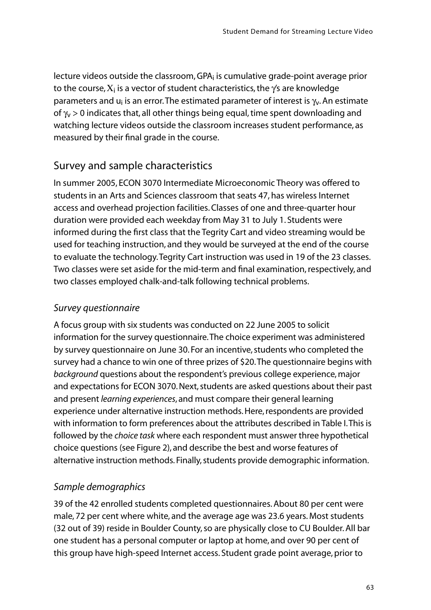lecture videos outside the classroom, GPA; is cumulative grade-point average prior to the course,  $X_i$  is a vector of student characteristics, the  $\gamma$ s are knowledge parameters and  $u_i$  is an error. The estimated parameter of interest is  $\gamma_v$ . An estimate of  $\gamma_{\nu}$  > 0 indicates that, all other things being equal, time spent downloading and watching lecture videos outside the classroom increases student performance, as measured by their final grade in the course.

# Survey and sample characteristics

In summer 2005, ECON 3070 Intermediate Microeconomic Theory was offered to students in an Arts and Sciences classroom that seats 47, has wireless Internet access and overhead projection facilities. Classes of one and three-quarter hour duration were provided each weekday from May 31 to July 1. Students were informed during the first class that the Tegrity Cart and video streaming would be used for teaching instruction, and they would be surveyed at the end of the course to evaluate the technology.Tegrity Cart instruction was used in 19 of the 23 classes. Two classes were set aside for the mid-term and final examination, respectively, and two classes employed chalk-and-talk following technical problems.

### *Survey questionnaire*

A focus group with six students was conducted on 22 June 2005 to solicit information for the survey questionnaire.The choice experiment was administered by survey questionnaire on June 30. For an incentive, students who completed the survey had a chance to win one of three prizes of \$20.The questionnaire begins with *background* questions about the respondent's previous college experience, major and expectations for ECON 3070. Next, students are asked questions about their past and present *learning experiences*, and must compare their general learning experience under alternative instruction methods. Here, respondents are provided with information to form preferences about the attributes described in Table I.This is followed by the *choice task* where each respondent must answer three hypothetical choice questions (see Figure 2), and describe the best and worse features of alternative instruction methods. Finally, students provide demographic information.

### *Sample demographics*

39 of the 42 enrolled students completed questionnaires. About 80 per cent were male, 72 per cent where white, and the average age was 23.6 years. Most students (32 out of 39) reside in Boulder County, so are physically close to CU Boulder. All bar one student has a personal computer or laptop at home, and over 90 per cent of this group have high-speed Internet access. Student grade point average, prior to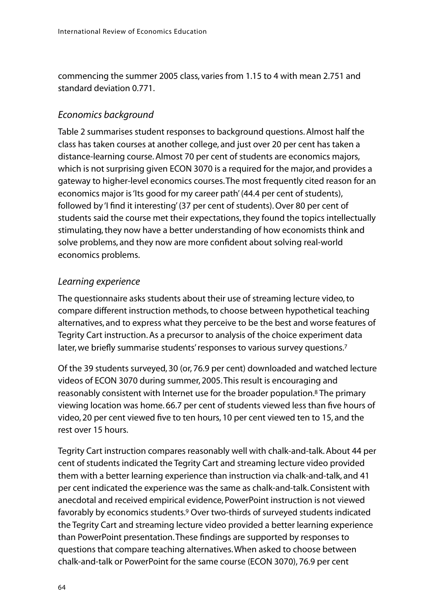commencing the summer 2005 class, varies from 1.15 to 4 with mean 2.751 and standard deviation 0.771.

## *Economics background*

Table 2 summarises student responses to background questions. Almost half the class has taken courses at another college, and just over 20 per cent has taken a distance-learning course. Almost 70 per cent of students are economics majors, which is not surprising given ECON 3070 is a required for the major, and provides a gateway to higher-level economics courses.The most frequently cited reason for an economics major is 'Its good for my career path' (44.4 per cent of students), followed by 'I find it interesting' (37 per cent of students). Over 80 per cent of students said the course met their expectations, they found the topics intellectually stimulating, they now have a better understanding of how economists think and solve problems, and they now are more confident about solving real-world economics problems.

### *Learning experience*

The questionnaire asks students about their use of streaming lecture video, to compare different instruction methods, to choose between hypothetical teaching alternatives, and to express what they perceive to be the best and worse features of Tegrity Cart instruction. As a precursor to analysis of the choice experiment data later, we briefly summarise students' responses to various survey questions.<sup>7</sup>

Of the 39 students surveyed, 30 (or, 76.9 per cent) downloaded and watched lecture videos of ECON 3070 during summer, 2005.This result is encouraging and reasonably consistent with Internet use for the broader population.8 The primary viewing location was home. 66.7 per cent of students viewed less than five hours of video, 20 per cent viewed five to ten hours, 10 per cent viewed ten to 15, and the rest over 15 hours.

Tegrity Cart instruction compares reasonably well with chalk-and-talk. About 44 per cent of students indicated the Tegrity Cart and streaming lecture video provided them with a better learning experience than instruction via chalk-and-talk, and 41 per cent indicated the experience was the same as chalk-and-talk. Consistent with anecdotal and received empirical evidence, PowerPoint instruction is not viewed favorably by economics students.9 Over two-thirds of surveyed students indicated the Tegrity Cart and streaming lecture video provided a better learning experience than PowerPoint presentation.These findings are supported by responses to questions that compare teaching alternatives.When asked to choose between chalk-and-talk or PowerPoint for the same course (ECON 3070), 76.9 per cent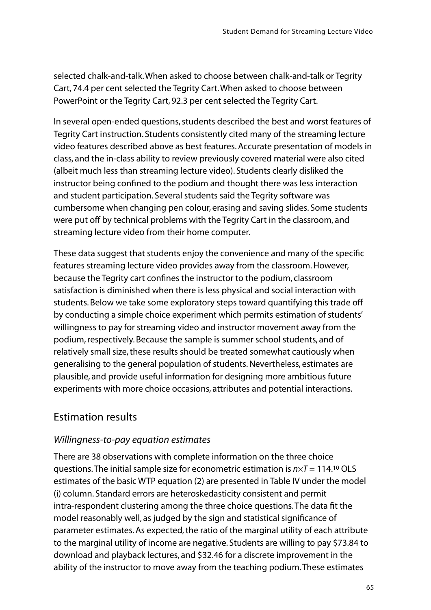selected chalk-and-talk.When asked to choose between chalk-and-talk or Tegrity Cart, 74.4 per cent selected the Tegrity Cart.When asked to choose between PowerPoint or the Tegrity Cart, 92.3 per cent selected the Tegrity Cart.

In several open-ended questions, students described the best and worst features of Tegrity Cart instruction. Students consistently cited many of the streaming lecture video features described above as best features. Accurate presentation of models in class, and the in-class ability to review previously covered material were also cited (albeit much less than streaming lecture video). Students clearly disliked the instructor being confined to the podium and thought there was less interaction and student participation. Several students said the Tegrity software was cumbersome when changing pen colour, erasing and saving slides. Some students were put off by technical problems with the Tegrity Cart in the classroom, and streaming lecture video from their home computer.

These data suggest that students enjoy the convenience and many of the specific features streaming lecture video provides away from the classroom. However, because the Tegrity cart confines the instructor to the podium, classroom satisfaction is diminished when there is less physical and social interaction with students. Below we take some exploratory steps toward quantifying this trade off by conducting a simple choice experiment which permits estimation of students' willingness to pay for streaming video and instructor movement away from the podium, respectively. Because the sample is summer school students, and of relatively small size, these results should be treated somewhat cautiously when generalising to the general population of students. Nevertheless, estimates are plausible, and provide useful information for designing more ambitious future experiments with more choice occasions, attributes and potential interactions.

# Estimation results

### *Willingness-to-pay equation estimates*

There are 38 observations with complete information on the three choice questions.The initial sample size for econometric estimation is *n*×*T* = 114.10 OLS estimates of the basic WTP equation (2) are presented in Table IV under the model (i) column. Standard errors are heteroskedasticity consistent and permit intra-respondent clustering among the three choice questions.The data fit the model reasonably well, as judged by the sign and statistical significance of parameter estimates. As expected, the ratio of the marginal utility of each attribute to the marginal utility of income are negative. Students are willing to pay \$73.84 to download and playback lectures, and \$32.46 for a discrete improvement in the ability of the instructor to move away from the teaching podium.These estimates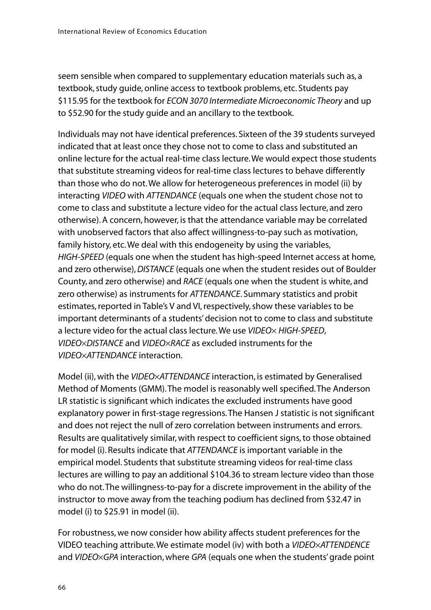seem sensible when compared to supplementary education materials such as, a textbook, study guide, online access to textbook problems, etc. Students pay \$115.95 for the textbook for *ECON 3070 Intermediate Microeconomic Theory* and up to \$52.90 for the study guide and an ancillary to the textbook.

Individuals may not have identical preferences. Sixteen of the 39 students surveyed indicated that at least once they chose not to come to class and substituted an online lecture for the actual real-time class lecture.We would expect those students that substitute streaming videos for real-time class lectures to behave differently than those who do not.We allow for heterogeneous preferences in model (ii) by interacting *VIDEO* with *ATTENDANCE* (equals one when the student chose not to come to class and substitute a lecture video for the actual class lecture, and zero otherwise). A concern, however, is that the attendance variable may be correlated with unobserved factors that also affect willingness-to-pay such as motivation, family history, etc.We deal with this endogeneity by using the variables, *HIGH-SPEED* (equals one when the student has high-speed Internet access at home, and zero otherwise),*DISTANCE* (equals one when the student resides out of Boulder County, and zero otherwise) and *RACE* (equals one when the student is white, and zero otherwise) as instruments for *ATTENDANCE*. Summary statistics and probit estimates, reported in Table's V and VI, respectively, show these variables to be important determinants of a students' decision not to come to class and substitute a lecture video for the actual class lecture.We use *VIDEO*× *HIGH-SPEED*, *VIDEO*×*DISTANCE* and *VIDEO*×*RACE* as excluded instruments for the *VIDEO*×*ATTENDANCE* interaction.

Model (ii), with the *VIDEO*×*ATTENDANCE* interaction, is estimated by Generalised Method of Moments (GMM).The model is reasonably well specified.The Anderson LR statistic is significant which indicates the excluded instruments have good explanatory power in first-stage regressions.The Hansen J statistic is not significant and does not reject the null of zero correlation between instruments and errors. Results are qualitatively similar, with respect to coefficient signs, to those obtained for model (i). Results indicate that *ATTENDANCE* is important variable in the empirical model. Students that substitute streaming videos for real-time class lectures are willing to pay an additional \$104.36 to stream lecture video than those who do not.The willingness-to-pay for a discrete improvement in the ability of the instructor to move away from the teaching podium has declined from \$32.47 in model (i) to \$25.91 in model (ii).

For robustness, we now consider how ability affects student preferences for the VIDEO teaching attribute.We estimate model (iv) with both a *VIDEO*×*ATTENDENCE* and *VIDEO*×*GPA* interaction, where *GPA* (equals one when the students' grade point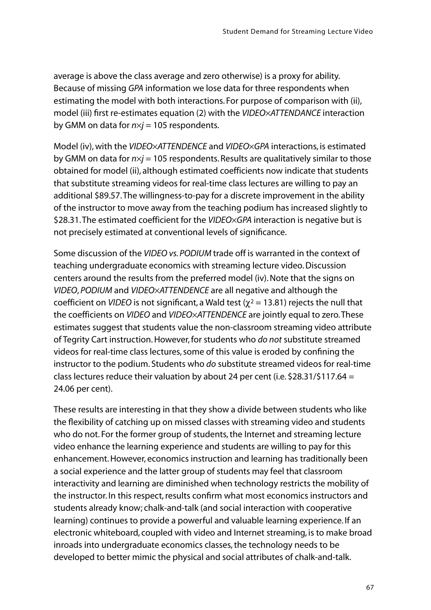average is above the class average and zero otherwise) is a proxy for ability. Because of missing *GPA* information we lose data for three respondents when estimating the model with both interactions. For purpose of comparison with (ii), model (iii) first re-estimates equation (2) with the *VIDEO*×*ATTENDANCE* interaction by GMM on data for *n*×*j* = 105 respondents.

Model (iv), with the *VIDEO*×*ATTENDENCE* and *VIDEO*×*GPA* interactions, is estimated by GMM on data for *n*×*j* = 105 respondents. Results are qualitatively similar to those obtained for model (ii), although estimated coefficients now indicate that students that substitute streaming videos for real-time class lectures are willing to pay an additional \$89.57.The willingness-to-pay for a discrete improvement in the ability of the instructor to move away from the teaching podium has increased slightly to \$28.31.The estimated coefficient for the *VIDEO*×*GPA* interaction is negative but is not precisely estimated at conventional levels of significance.

Some discussion of the *VIDEO vs. PODIUM* trade off is warranted in the context of teaching undergraduate economics with streaming lecture video. Discussion centers around the results from the preferred model (iv). Note that the signs on *VIDEO*, *PODIUM* and *VIDEO*×*ATTENDENCE* are all negative and although the coefficient on *VIDEO* is not significant, a Wald test ( $\gamma^2$  = 13.81) rejects the null that the coefficients on *VIDEO* and *VIDEO*×*ATTENDENCE* are jointly equal to zero.These estimates suggest that students value the non-classroom streaming video attribute of Tegrity Cart instruction. However, for students who *do not* substitute streamed videos for real-time class lectures, some of this value is eroded by confining the instructor to the podium. Students who *do* substitute streamed videos for real-time class lectures reduce their valuation by about 24 per cent (i.e.  $$28.31/$117.64 =$ 24.06 per cent).

These results are interesting in that they show a divide between students who like the flexibility of catching up on missed classes with streaming video and students who do not. For the former group of students, the Internet and streaming lecture video enhance the learning experience and students are willing to pay for this enhancement.However, economics instruction and learning has traditionally been a social experience and the latter group of students may feel that classroom interactivity and learning are diminished when technology restricts the mobility of the instructor. In this respect, results confirm what most economics instructors and students already know; chalk-and-talk (and social interaction with cooperative learning) continues to provide a powerful and valuable learning experience. If an electronic whiteboard, coupled with video and Internet streaming, is to make broad inroads into undergraduate economics classes, the technology needs to be developed to better mimic the physical and social attributes of chalk-and-talk.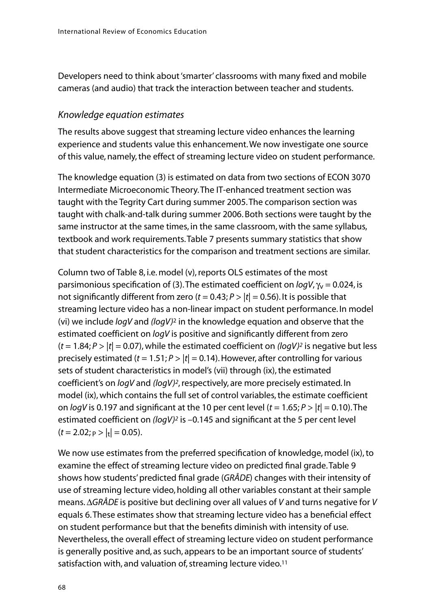Developers need to think about 'smarter' classrooms with many fixed and mobile cameras (and audio) that track the interaction between teacher and students.

### *Knowledge equation estimates*

The results above suggest that streaming lecture video enhances the learning experience and students value this enhancement.We now investigate one source of this value, namely, the effect of streaming lecture video on student performance.

The knowledge equation (3) is estimated on data from two sections of ECON 3070 Intermediate Microeconomic Theory.The IT-enhanced treatment section was taught with the Tegrity Cart during summer 2005.The comparison section was taught with chalk-and-talk during summer 2006. Both sections were taught by the same instructor at the same times, in the same classroom, with the same syllabus, textbook and work requirements.Table 7 presents summary statistics that show that student characteristics for the comparison and treatment sections are similar.

Column two of Table 8, i.e. model (v), reports OLS estimates of the most parsimonious specification of (3). The estimated coefficient on *logV*,  $γ<sub>ν</sub> = 0.024$ , is not significantly different from zero  $(t = 0.43; P > |t| = 0.56)$ . It is possible that streaming lecture video has a non-linear impact on student performance. In model (vi) we include *logV* and *(logV)*<sup>2</sup> in the knowledge equation and observe that the estimated coefficient on *logV* is positive and significantly different from zero  $(t = 1.84; P > |t| = 0.07)$ , while the estimated coefficient on  $\langle \log V \rangle^2$  is negative but less precisely estimated  $(t = 1.51; P > |t| = 0.14)$ . However, after controlling for various sets of student characteristics in model's (vii) through (ix), the estimated coefficient's on *logV* and *(logV)2*,respectively, are more precisely estimated. In model (ix),which contains the full set of control variables, the estimate coefficient on  $\log V$  is 0.197 and significant at the 10 per cent level  $(t = 1.65; P > |t| = 0.10)$ . The estimated coefficient on *(logV)<sup>2</sup>* is -0.145 and significant at the 5 per cent level  $(t = 2.02; p > |t| = 0.05)$ .

We now use estimates from the preferred specification of knowledge, model (ix), to examine the effect of streaming lecture video on predicted final grade.Table 9 shows how students' predicted final grade (*GRÂDE*) changes with their intensity of use of streaming lecture video, holding all other variables constant at their sample means.∆*GRÂDE* is positive but declining over all values of *V* and turns negative for *V* equals 6.These estimates show that streaming lecture video has a beneficial effect on student performance but that the benefits diminish with intensity of use. Nevertheless, the overall effect of streaming lecture video on student performance is generally positive and, as such, appears to be an important source of students' satisfaction with, and valuation of, streaming lecture video.<sup>11</sup>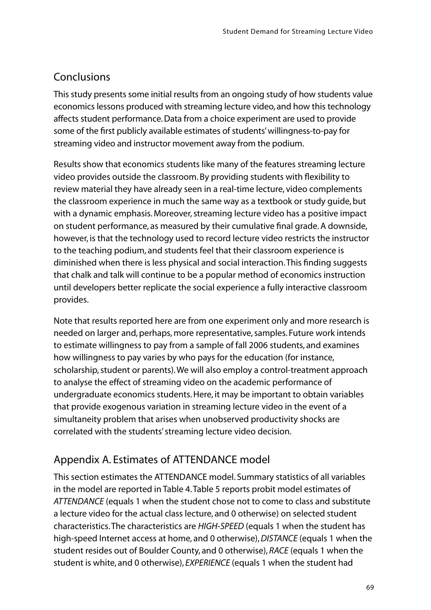# Conclusions

This study presents some initial results from an ongoing study of how students value economics lessons produced with streaming lecture video, and how this technology affects student performance. Data from a choice experiment are used to provide some of the first publicly available estimates of students' willingness-to-pay for streaming video and instructor movement away from the podium.

Results show that economics students like many of the features streaming lecture video provides outside the classroom. By providing students with flexibility to review material they have already seen in a real-time lecture, video complements the classroom experience in much the same way as a textbook or study guide, but with a dynamic emphasis. Moreover, streaming lecture video has a positive impact on student performance, as measured by their cumulative final grade. A downside, however, is that the technology used to record lecture video restricts the instructor to the teaching podium, and students feel that their classroom experience is diminished when there is less physical and social interaction.This finding suggests that chalk and talk will continue to be a popular method of economics instruction until developers better replicate the social experience a fully interactive classroom provides.

Note that results reported here are from one experiment only and more research is needed on larger and, perhaps, more representative, samples. Future work intends to estimate willingness to pay from a sample of fall 2006 students, and examines how willingness to pay varies by who pays for the education (for instance, scholarship, student or parents).We will also employ a control-treatment approach to analyse the effect of streaming video on the academic performance of undergraduate economics students. Here, it may be important to obtain variables that provide exogenous variation in streaming lecture video in the event of a simultaneity problem that arises when unobserved productivity shocks are correlated with the students' streaming lecture video decision.

# Appendix A. Estimates of ATTENDANCE model

This section estimates the ATTENDANCE model. Summary statistics of all variables in the model are reported in Table 4.Table 5 reports probit model estimates of *ATTENDANCE* (equals 1 when the student chose not to come to class and substitute a lecture video for the actual class lecture, and 0 otherwise) on selected student characteristics.The characteristics are *HIGH-SPEED* (equals 1 when the student has high-speed Internet access at home, and 0 otherwise),*DISTANCE* (equals 1 when the student resides out of Boulder County, and 0 otherwise), *RACE* (equals 1 when the student is white, and 0 otherwise), *EXPERIENCE* (equals 1 when the student had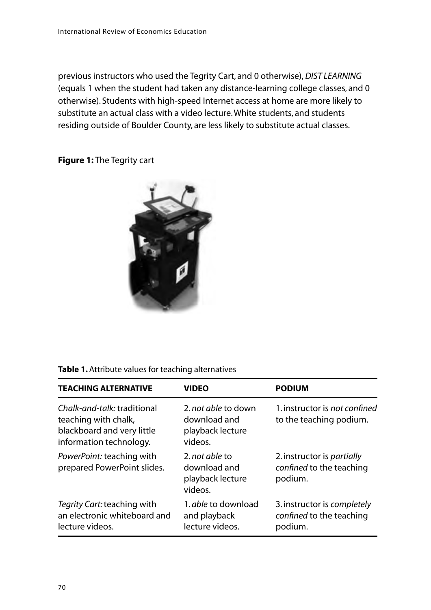previous instructors who used the Tegrity Cart, and 0 otherwise), *DIST LEARNING* (equals 1 when the student had taken any distance-learning college classes, and 0 otherwise). Students with high-speed Internet access at home are more likely to substitute an actual class with a video lecture.White students, and students residing outside of Boulder County, are less likely to substitute actual classes.

**Figure 1:** The Tegrity cart



#### **Table 1.**Attribute values for teaching alternatives

| <b>TEACHING ALTERNATIVE</b>                                                                                  | VIDEO                                                              | <b>PODIUM</b>                                                            |
|--------------------------------------------------------------------------------------------------------------|--------------------------------------------------------------------|--------------------------------------------------------------------------|
| Chalk-and-talk: traditional<br>teaching with chalk,<br>blackboard and very little<br>information technology. | 2, not able to down<br>download and<br>playback lecture<br>videos. | 1. instructor is not confined<br>to the teaching podium.                 |
| <i>PowerPoint:</i> teaching with<br>prepared PowerPoint slides.                                              | 2. not able to<br>download and<br>playback lecture<br>videos.      | 2. instructor is <i>partially</i><br>confined to the teaching<br>podium. |
| Tegrity Cart: teaching with<br>an electronic whiteboard and<br>lecture videos.                               | 1. <i>able</i> to download<br>and playback<br>lecture videos.      | 3. instructor is completely<br>confined to the teaching<br>podium.       |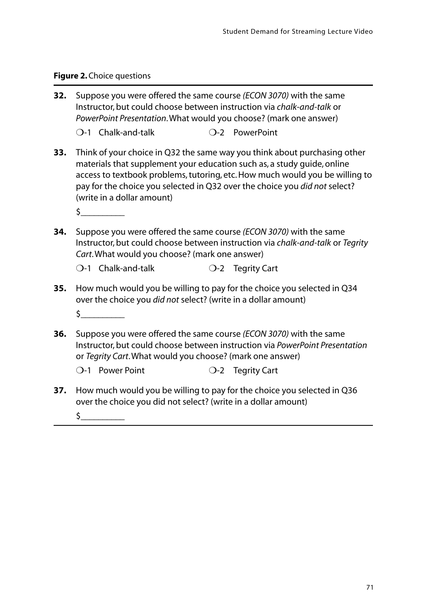#### **Figure 2.**Choice questions

- **32.** Suppose you were offered the same course *(ECON 3070)* with the same Instructor, but could choose between instruction via *chalk-and-talk* or *PowerPoint Presentation*.What would you choose? (mark one answer)
	- ❍-1 Chalk-and-talk ❍-2 PowerPoint
- **33.** Think of your choice in Q32 the same way you think about purchasing other materials that supplement your education such as, a study guide, online access to textbook problems, tutoring, etc. How much would you be willing to pay for the choice you selected in Q32 over the choice you *did not* select? (write in a dollar amount)
	- $\mathsf{s}$
- **34.** Suppose you were offered the same course *(ECON 3070)* with the same Instructor, but could choose between instruction via *chalk-and-talk* or *Tegrity Cart*.What would you choose? (mark one answer)
	- ❍-1 Chalk-and-talk ❍-2 Tegrity Cart
- **35.** How much would you be willing to pay for the choice you selected in Q34 over the choice you *did not* select? (write in a dollar amount)  $\mathsf{\dot{S}}$
- **36.** Suppose you were offered the same course *(ECON 3070)* with the same Instructor, but could choose between instruction via *PowerPoint Presentation* or *Tegrity Cart*.What would you choose? (mark one answer)
	- ❍-1 Power Point ❍-2 Tegrity Cart
- **37.** How much would you be willing to pay for the choice you selected in Q36 over the choice you did not select? (write in a dollar amount)
	- $\mathsf{S}$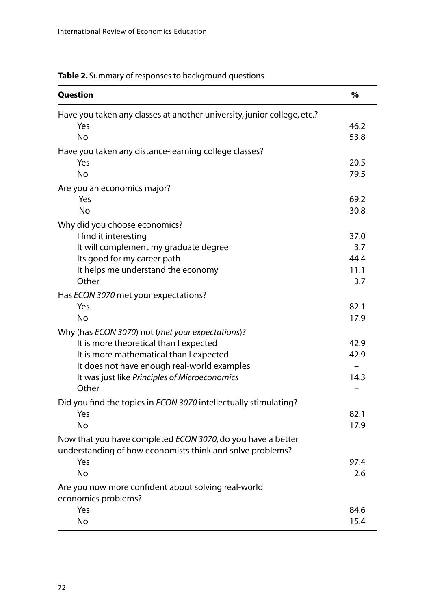| <b>Question</b>                                                         | %    |
|-------------------------------------------------------------------------|------|
| Have you taken any classes at another university, junior college, etc.? |      |
| Yes                                                                     | 46.2 |
| Nο                                                                      | 53.8 |
| Have you taken any distance-learning college classes?                   |      |
| Yes                                                                     | 20.5 |
| No                                                                      | 79.5 |
| Are you an economics major?                                             |      |
| Yes                                                                     | 69.2 |
| No                                                                      | 30.8 |
| Why did you choose economics?                                           |      |
| I find it interesting                                                   | 37.0 |
| It will complement my graduate degree                                   | 3.7  |
| Its good for my career path                                             | 44.4 |
| It helps me understand the economy                                      | 11.1 |
| Other                                                                   | 3.7  |
| Has ECON 3070 met your expectations?                                    |      |
| Yes                                                                     | 82.1 |
| No                                                                      | 17.9 |
| Why (has ECON 3070) not (met your expectations)?                        |      |
| It is more theoretical than I expected                                  | 42.9 |
| It is more mathematical than I expected                                 | 42.9 |
| It does not have enough real-world examples                             |      |
| It was just like Principles of Microeconomics                           | 14.3 |
| Other                                                                   |      |
| Did you find the topics in ECON 3070 intellectually stimulating?        |      |
| Yes                                                                     | 82.1 |
| No                                                                      | 17.9 |
| Now that you have completed ECON 3070, do you have a better             |      |
| understanding of how economists think and solve problems?               |      |
| Yes                                                                     | 97.4 |
| No                                                                      | 2.6  |
| Are you now more confident about solving real-world                     |      |
| economics problems?<br>Yes                                              | 84.6 |
| No                                                                      | 15.4 |
|                                                                         |      |

#### **Table 2.** Summary of responses to background questions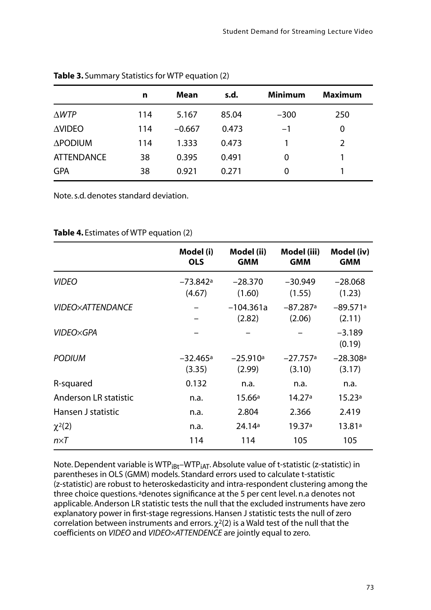|                   | n   | Mean     | s.d.  | Minimum | Maximum |
|-------------------|-----|----------|-------|---------|---------|
| $\triangle WTP$   | 114 | 5.167    | 85.04 | $-300$  | 250     |
| <b>AVIDEO</b>     | 114 | $-0.667$ | 0.473 | $-1$    | 0       |
| <b>APODIUM</b>    | 114 | 1.333    | 0.473 |         | 2       |
| <b>ATTENDANCE</b> | 38  | 0.395    | 0.491 | 0       |         |
| <b>GPA</b>        | 38  | 0.921    | 0.271 | 0       |         |

**Table 3.** Summary Statistics for WTP equation (2)

Note. s.d. denotes standard deviation.

|                         | Model (i)<br><b>OLS</b>          | Model (ii)<br><b>GMM</b> | Model (iii)<br><b>GMM</b> | Model (iv)<br><b>GMM</b> |
|-------------------------|----------------------------------|--------------------------|---------------------------|--------------------------|
| <i>VIDEO</i>            | $-73.842$ <sup>a</sup><br>(4.67) | $-28.370$<br>(1.60)      | $-30.949$<br>(1.55)       | $-28.068$<br>(1.23)      |
| <i>VIDEO×ATTENDANCE</i> |                                  | $-104.361a$<br>(2.82)    | $-87.287a$<br>(2.06)      | $-89.571a$<br>(2.11)     |
| <b>VIDEO×GPA</b>        |                                  |                          |                           | $-3.189$<br>(0.19)       |
| <b>PODIUM</b>           | $-32.465a$<br>(3.35)             | $-25.910a$<br>(2.99)     | $-27.757a$<br>(3.10)      | $-28.308a$<br>(3.17)     |
| R-squared               | 0.132                            | n.a.                     | n.a.                      | n.a.                     |
| Anderson LR statistic   | n.a.                             | 15.66a                   | 14.27 <sup>a</sup>        | 15.23a                   |
| Hansen J statistic      | n.a.                             | 2.804                    | 2.366                     | 2.419                    |
| $\chi^2(2)$             | n.a.                             | 24.14 <sup>a</sup>       | 19.37a                    | 13.81a                   |
| $n \times T$            | 114                              | 114                      | 105                       | 105                      |

#### **Table 4.** Estimates of WTP equation (2)

Note. Dependent variable is  $WTP_{iBt}$ –WTP<sub>iAT</sub>. Absolute value of t-statistic (z-statistic) in parentheses in OLS (GMM) models. Standard errors used to calculate t-statistic (z-statistic) are robust to heteroskedasticity and intra-respondent clustering among the three choice questions. adenotes significance at the 5 per cent level. n.a denotes not applicable. Anderson LR statistic tests the null that the excluded instruments have zero explanatory power in first-stage regressions. Hansen J statistic tests the null of zero correlation between instruments and errors.  $\chi^2(2)$  is a Wald test of the null that the coefficients on *VIDEO* and *VIDEO*×*ATTENDENCE* are jointly equal to zero.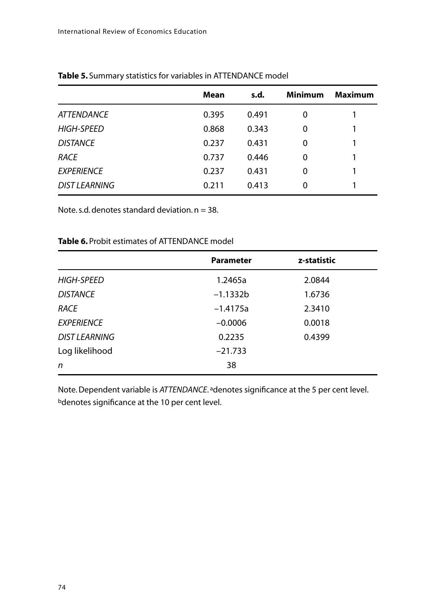|                      | Mean  | s.d.  | <b>Minimum</b> | Maximum |
|----------------------|-------|-------|----------------|---------|
| <b>ATTENDANCE</b>    | 0.395 | 0.491 | 0              |         |
| HIGH-SPEED           | 0.868 | 0.343 | 0              |         |
| <b>DISTANCE</b>      | 0.237 | 0.431 | 0              |         |
| <b>RACE</b>          | 0.737 | 0.446 | 0              |         |
| <b>EXPERIENCE</b>    | 0.237 | 0.431 | 0              |         |
| <b>DIST LEARNING</b> | 0.211 | 0.413 | 0              |         |

#### **Table 5.** Summary statistics for variables in ATTENDANCE model

Note. s.d. denotes standard deviation.  $n = 38$ .

#### **Table 6.** Probit estimates of ATTENDANCE model

|                      | <b>Parameter</b> | z-statistic |
|----------------------|------------------|-------------|
| <b>HIGH-SPEED</b>    | 1.2465a          | 2.0844      |
| <b>DISTANCE</b>      | $-1.1332b$       | 1.6736      |
| <b>RACE</b>          | $-1.4175a$       | 2.3410      |
| <b>EXPERIENCE</b>    | $-0.0006$        | 0.0018      |
| <b>DIST LEARNING</b> | 0.2235           | 0.4399      |
| Log likelihood       | $-21.733$        |             |
| n                    | 38               |             |

Note. Dependent variable is *ATTENDANCE*. adenotes significance at the 5 per cent level. bdenotes significance at the 10 per cent level.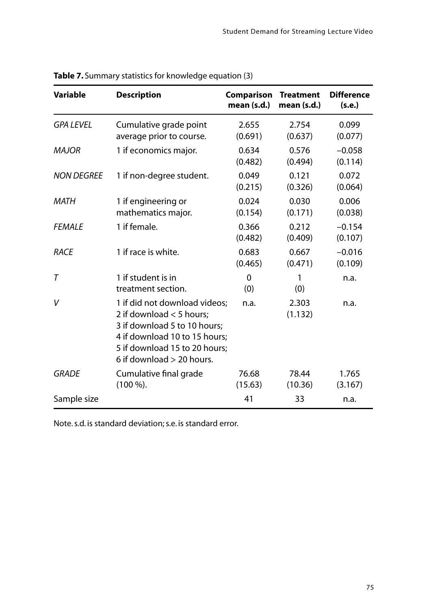| Variable          | <b>Description</b>                                                                                                                                                                           | Comparison<br>mean (s.d.) | <b>Treatment</b><br>mean (s.d.) | <b>Difference</b><br>(s.e.) |
|-------------------|----------------------------------------------------------------------------------------------------------------------------------------------------------------------------------------------|---------------------------|---------------------------------|-----------------------------|
| <b>GPA LEVEL</b>  | Cumulative grade point<br>average prior to course.                                                                                                                                           | 2.655<br>(0.691)          | 2.754<br>(0.637)                | 0.099<br>(0.077)            |
| <b>MAJOR</b>      | 1 if economics major.                                                                                                                                                                        | 0.634<br>(0.482)          | 0.576<br>(0.494)                | $-0.058$<br>(0.114)         |
| <b>NON DEGREE</b> | 1 if non-degree student.                                                                                                                                                                     | 0.049<br>(0.215)          | 0.121<br>(0.326)                | 0.072<br>(0.064)            |
| <i>MATH</i>       | 1 if engineering or<br>mathematics major.                                                                                                                                                    | 0.024<br>(0.154)          | 0.030<br>(0.171)                | 0.006<br>(0.038)            |
| <b>FEMALE</b>     | 1 if female.                                                                                                                                                                                 | 0.366<br>(0.482)          | 0.212<br>(0.409)                | $-0.154$<br>(0.107)         |
| <b>RACE</b>       | 1 if race is white.                                                                                                                                                                          | 0.683<br>(0.465)          | 0.667<br>(0.471)                | $-0.016$<br>(0.109)         |
| Τ                 | 1 if student is in<br>treatment section.                                                                                                                                                     | $\Omega$<br>(0)           | 1<br>(0)                        | n.a.                        |
| V                 | 1 if did not download videos:<br>2 if download $<$ 5 hours;<br>3 if download 5 to 10 hours;<br>4 if download 10 to 15 hours;<br>5 if download 15 to 20 hours;<br>6 if download $> 20$ hours. | n.a.                      | 2.303<br>(1.132)                | n.a.                        |
| <b>GRADE</b>      | Cumulative final grade<br>$(100\%)$ .                                                                                                                                                        | 76.68<br>(15.63)          | 78.44<br>(10.36)                | 1.765<br>(3.167)            |
| Sample size       |                                                                                                                                                                                              | 41                        | 33                              | n.a.                        |

**Table 7.** Summary statistics for knowledge equation (3)

Note. s.d. is standard deviation; s.e. is standard error.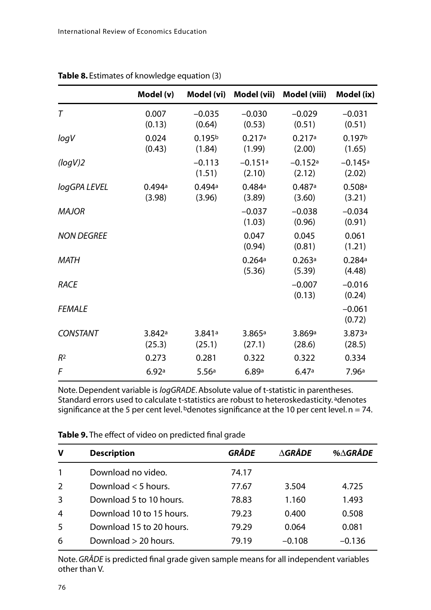|                   | Model (v)                    | Model (vi)                   | Model (vii)         | Model (viii)        | Model (ix)                   |
|-------------------|------------------------------|------------------------------|---------------------|---------------------|------------------------------|
| T                 | 0.007<br>(0.13)              | $-0.035$<br>(0.64)           | $-0.030$<br>(0.53)  | $-0.029$<br>(0.51)  | $-0.031$<br>(0.51)           |
| logV              | 0.024<br>(0.43)              | 0.195 <sup>b</sup><br>(1.84) | 0.217a<br>(1.99)    | 0.217a<br>(2.00)    | 0.197 <sup>b</sup><br>(1.65) |
| (logV)2           |                              | $-0.113$<br>(1.51)           | $-0.151a$<br>(2.10) | $-0.152a$<br>(2.12) | $-0.145a$<br>(2.02)          |
| logGPA LEVEL      | 0.494a<br>(3.98)             | 0.494a<br>(3.96)             | 0.484a<br>(3.89)    | 0.487a<br>(3.60)    | 0.508a<br>(3.21)             |
| <b>MAJOR</b>      |                              |                              | $-0.037$<br>(1.03)  | $-0.038$<br>(0.96)  | $-0.034$<br>(0.91)           |
| <b>NON DEGREE</b> |                              |                              | 0.047<br>(0.94)     | 0.045<br>(0.81)     | 0.061<br>(1.21)              |
| <b>MATH</b>       |                              |                              | 0.264a<br>(5.36)    | 0.263a<br>(5.39)    | 0.284a<br>(4.48)             |
| <b>RACE</b>       |                              |                              |                     | $-0.007$<br>(0.13)  | $-0.016$<br>(0.24)           |
| <b>FEMALE</b>     |                              |                              |                     |                     | $-0.061$<br>(0.72)           |
| <b>CONSTANT</b>   | 3.842 <sup>a</sup><br>(25.3) | 3.841 <sup>a</sup><br>(25.1) | 3.865a<br>(27.1)    | 3.869a<br>(28.6)    | 3.873 <sup>a</sup><br>(28.5) |
| R <sup>2</sup>    | 0.273                        | 0.281                        | 0.322               | 0.322               | 0.334                        |
| F                 | 6.92a                        | 5.56a                        | 6.89a               | 6.47a               | 7.96 <sup>a</sup>            |

| Table 8. Estimates of knowledge equation (3) |  |
|----------------------------------------------|--|
|----------------------------------------------|--|

Note. Dependent variable is *logGRADE*. Absolute value of t-statistic in parentheses. Standard errors used to calculate t-statistics are robust to heteroskedasticity.<sup>a</sup>denotes significance at the 5 per cent level. bdenotes significance at the 10 per cent level.  $n = 74$ .

| v              | <b>Description</b>       | GRÂDE | ∧GRÂDE   | %∆GRÂDE  |
|----------------|--------------------------|-------|----------|----------|
| 1              | Download no video.       | 74.17 |          |          |
| 2              | Download $<$ 5 hours.    | 77.67 | 3.504    | 4.725    |
| 3              | Download 5 to 10 hours.  | 78.83 | 1.160    | 1.493    |
| $\overline{4}$ | Download 10 to 15 hours. | 79.23 | 0.400    | 0.508    |
| 5              | Download 15 to 20 hours. | 79.29 | 0.064    | 0.081    |
| 6              | Download > 20 hours.     | 79.19 | $-0.108$ | $-0.136$ |
|                |                          |       |          |          |

**Table 9.** The effect of video on predicted final grade

Note.*GRÂDE* is predicted final grade given sample means for all independent variables other than V.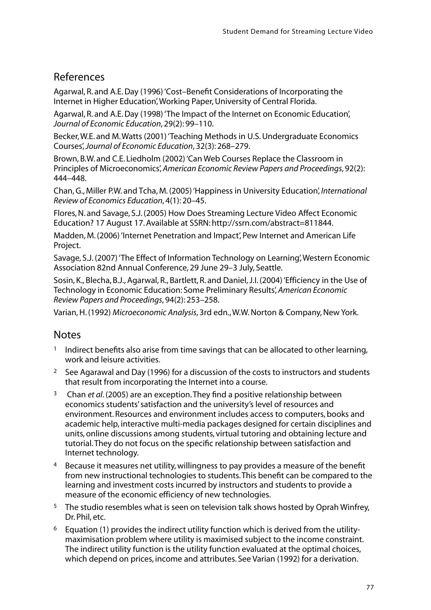## References

Agarwal, R. and A.E. Day (1996) 'Cost–Benefit Considerations of Incorporating the Internet in Higher Education', Working Paper, University of Central Florida.

Agarwal, R. and A.E. Day (1998) 'The Impact of the Internet on Economic Education', *Journal of Economic Education*, 29(2): 99–110.

Becker, W.E. and M.Watts (2001) 'Teaching Methods in U.S. Undergraduate Economics Courses',*Journal of Economic Education*, 32(3): 268–279.

Brown, B.W. and C.E. Liedholm (2002) 'Can Web Courses Replace the Classroom in Principles of Microeconomics',*American Economic Review Papers and Proceedings*, 92(2): 444–448.

Chan, G., Miller P.W. and Tcha, M. (2005) 'Happiness in University Education', *International Review of Economics Education*, 4(1): 20–45.

Flores, N. and Savage, S.J. (2005) How Does Streaming Lecture Video Affect Economic Education? 17 August 17. Available at SSRN: http://ssrn.com/abstract=811844.

Madden, M. (2006) 'Internet Penetration and Impact', Pew Internet and American Life Project.

Savage, S.J. (2007) 'The Effect of Information Technology on Learning', Western Economic Association 82nd Annual Conference, 29 June 29–3 July, Seattle.

Sosin, K., Blecha, B.J., Agarwal, R., Bartlett, R. and Daniel, J.I. (2004) 'Efficiency in the Use of Technology in Economic Education: Some Preliminary Results',*American Economic Review Papers and Proceedings*, 94(2): 253–258.

Varian, H. (1992) *Microeconomic Analysis*, 3rd edn., W.W. Norton & Company, New York.

#### **Notes**

- 1 Indirect benefits also arise from time savings that can be allocated to other learning, work and leisure activities.
- 2 See Agarawal and Day (1996) for a discussion of the costs to instructors and students that result from incorporating the Internet into a course.
- <sup>3</sup> Chan *et al*. (2005) are an exception.They find a positive relationship between economics students' satisfaction and the university's level of resources and environment. Resources and environment includes access to computers, books and academic help, interactive multi-media packages designed for certain disciplines and units, online discussions among students, virtual tutoring and obtaining lecture and tutorial.They do not focus on the specific relationship between satisfaction and Internet technology.
- 4 Because it measures net utility, willingness to pay provides a measure of the benefit from new instructional technologies to students.This benefit can be compared to the learning and investment costs incurred by instructors and students to provide a measure of the economic efficiency of new technologies.
- 5 The studio resembles what is seen on television talk shows hosted by Oprah Winfrey, Dr. Phil, etc.
- $6$  Equation (1) provides the indirect utility function which is derived from the utilitymaximisation problem where utility is maximised subject to the income constraint. The indirect utility function is the utility function evaluated at the optimal choices, which depend on prices, income and attributes. See Varian (1992) for a derivation.